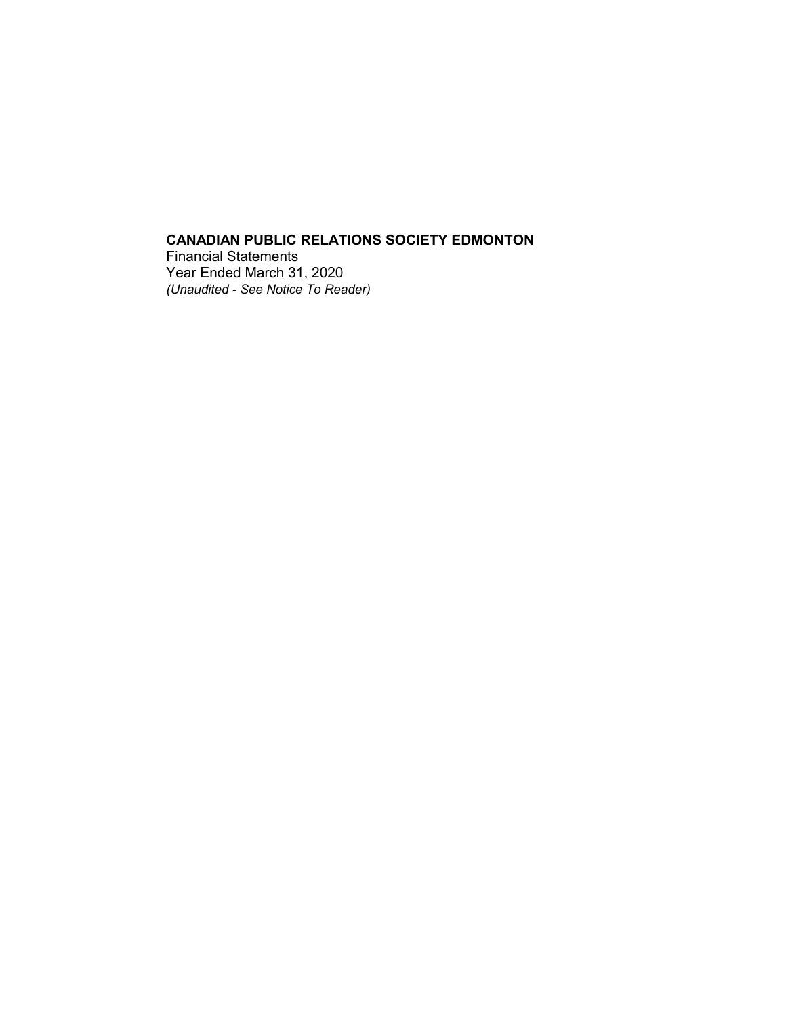Financial Statements Year Ended March 31, 2020 *(Unaudited - See Notice To Reader)*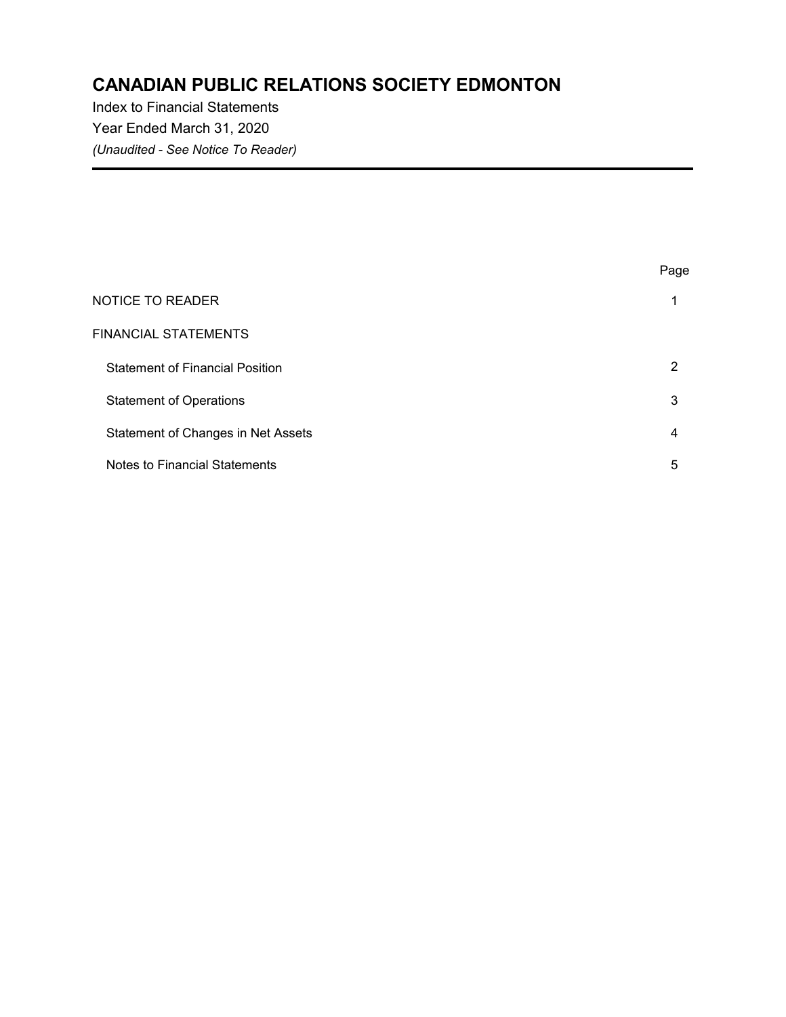Index to Financial Statements Year Ended March 31, 2020 *(Unaudited - See Notice To Reader)*

|                                        | Page |
|----------------------------------------|------|
| <b>NOTICE TO READER</b>                | и    |
| FINANCIAL STATEMENTS                   |      |
| <b>Statement of Financial Position</b> | 2    |
| <b>Statement of Operations</b>         | 3    |
| Statement of Changes in Net Assets     | 4    |
| Notes to Financial Statements          | 5    |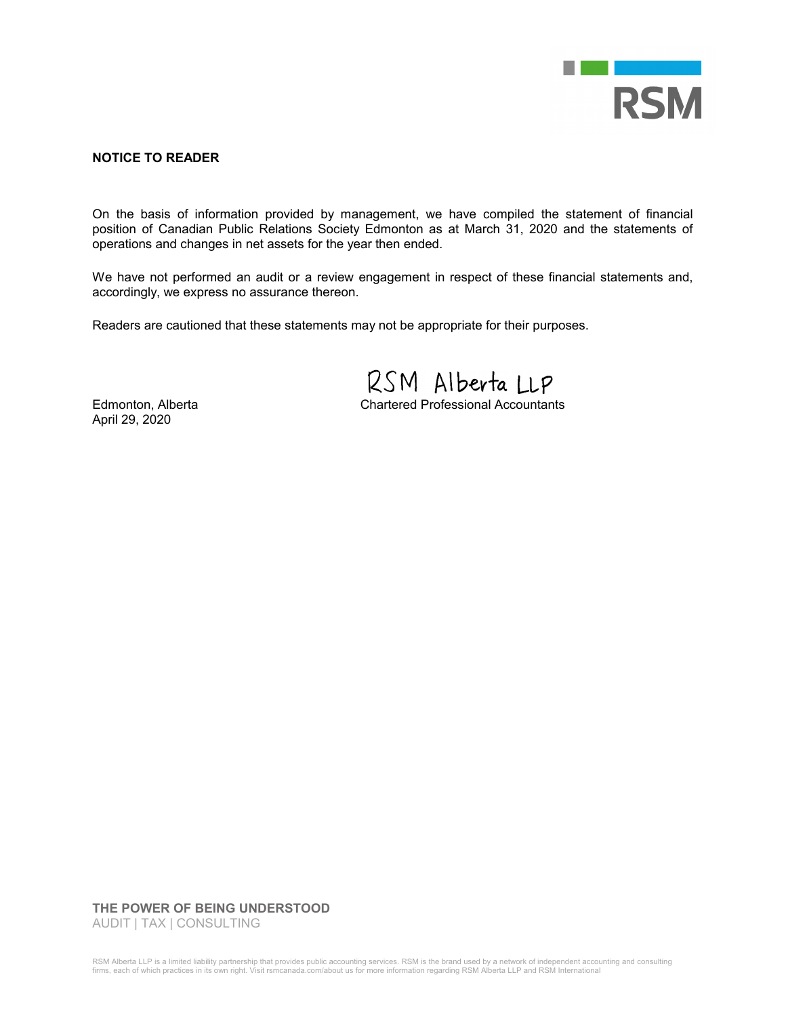

#### **NOTICE TO READER**

On the basis of information provided by management, we have compiled the statement of financial position of Canadian Public Relations Society Edmonton as at March 31, 2020 and the statements of operations and changes in net assets for the year then ended.

We have not performed an audit or a review engagement in respect of these financial statements and, accordingly, we express no assurance thereon.

Readers are cautioned that these statements may not be appropriate for their purposes.

RSM Alberta LLP

Edmonton, Alberta Chartered Professional Accountants

April 29, 2020

#### **THE POWER OF BEING UNDERSTOOD**

AUDIT | TAX | CONSULTING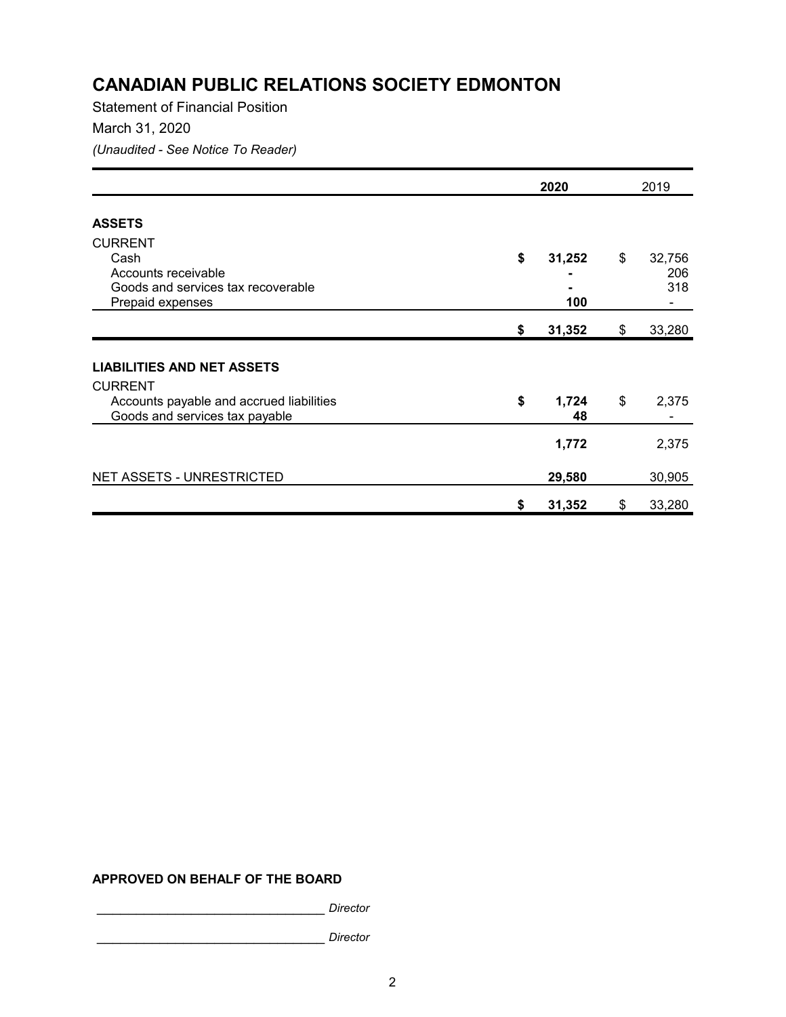Statement of Financial Position March 31, 2020 *(Unaudited - See Notice To Reader)*

|                                                                            |    | 2020        |    | 2019   |  |
|----------------------------------------------------------------------------|----|-------------|----|--------|--|
| <b>ASSETS</b>                                                              |    |             |    |        |  |
| <b>CURRENT</b>                                                             |    |             |    |        |  |
| Cash                                                                       | \$ | 31,252      | \$ | 32,756 |  |
| Accounts receivable                                                        |    |             |    | 206    |  |
| Goods and services tax recoverable                                         |    |             |    | 318    |  |
| Prepaid expenses                                                           |    | 100         |    |        |  |
|                                                                            | \$ | 31,352      | \$ | 33,280 |  |
|                                                                            |    |             |    |        |  |
| <b>LIABILITIES AND NET ASSETS</b>                                          |    |             |    |        |  |
| <b>CURRENT</b>                                                             |    |             |    |        |  |
| Accounts payable and accrued liabilities<br>Goods and services tax payable | \$ | 1,724<br>48 | \$ | 2,375  |  |
|                                                                            |    |             |    |        |  |
|                                                                            |    | 1,772       |    | 2,375  |  |
| <b>NET ASSETS - UNRESTRICTED</b>                                           |    | 29,580      |    | 30,905 |  |
|                                                                            |    |             |    |        |  |
|                                                                            | S  | 31,352      | \$ | 33,280 |  |

#### **APPROVED ON BEHALF OF THE BOARD**

\_\_\_\_\_\_\_\_\_\_\_\_\_\_\_\_\_\_\_\_\_\_\_\_\_\_\_\_\_ *Director* 

\_\_\_\_\_\_\_\_\_\_\_\_\_\_\_\_\_\_\_\_\_\_\_\_\_\_\_\_\_ *Director*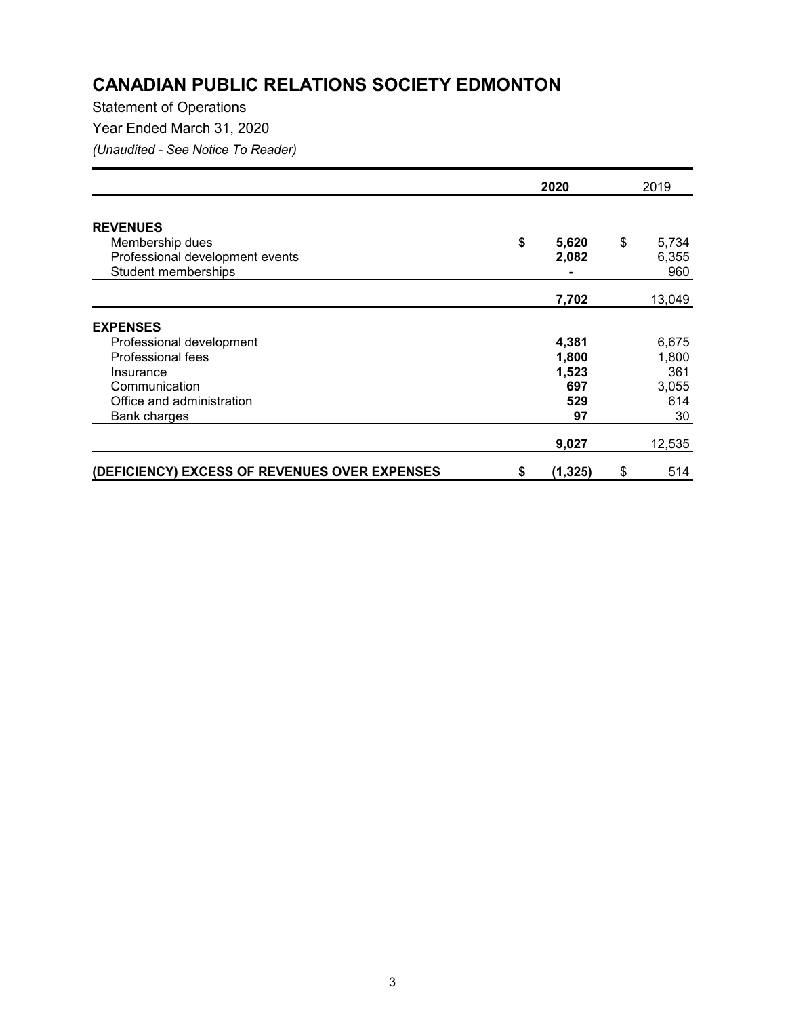### Statement of Operations

Year Ended March 31, 2020

*(Unaudited - See Notice To Reader)*

|                                               |    | 2020     |    | 2019   |  |
|-----------------------------------------------|----|----------|----|--------|--|
| <b>REVENUES</b>                               |    |          |    |        |  |
| Membership dues                               | \$ | 5,620    | \$ | 5,734  |  |
| Professional development events               |    | 2,082    |    | 6,355  |  |
| Student memberships                           |    |          |    | 960    |  |
|                                               |    |          |    |        |  |
|                                               |    | 7,702    |    | 13,049 |  |
| <b>EXPENSES</b>                               |    |          |    |        |  |
| Professional development                      |    | 4,381    |    | 6,675  |  |
| Professional fees                             |    | 1,800    |    | 1,800  |  |
| Insurance                                     |    | 1,523    |    | 361    |  |
| Communication                                 |    | 697      |    | 3,055  |  |
| Office and administration                     |    | 529      |    | 614    |  |
| Bank charges                                  |    | 97       |    | 30     |  |
|                                               |    | 9,027    |    | 12,535 |  |
| (DEFICIENCY) EXCESS OF REVENUES OVER EXPENSES | \$ | (1, 325) | \$ | 514    |  |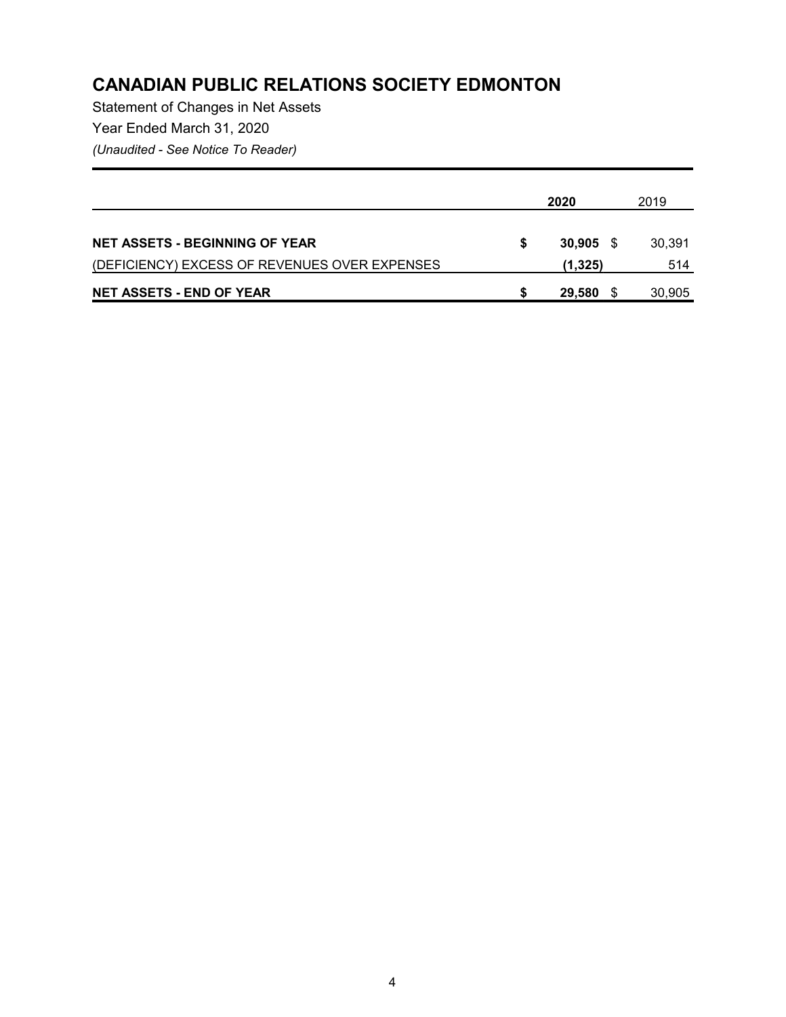Statement of Changes in Net Assets Year Ended March 31, 2020 *(Unaudited - See Notice To Reader)*

|                                               | 2020 |         |      | 2019   |  |
|-----------------------------------------------|------|---------|------|--------|--|
| <b>NET ASSETS - BEGINNING OF YEAR</b>         | S    | 30,905  | - \$ | 30,391 |  |
| (DEFICIENCY) EXCESS OF REVENUES OVER EXPENSES |      | (1,325) |      | 514    |  |
| <b>NET ASSETS - END OF YEAR</b>               |      | 29,580  |      | 30,905 |  |